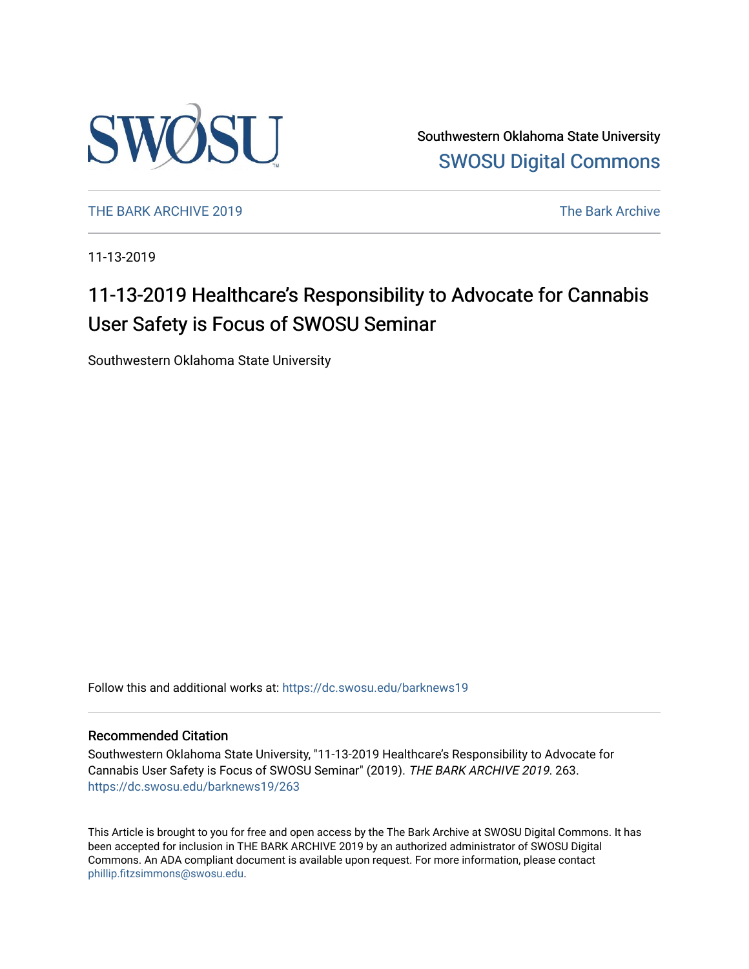

Southwestern Oklahoma State University [SWOSU Digital Commons](https://dc.swosu.edu/) 

[THE BARK ARCHIVE 2019](https://dc.swosu.edu/barknews19) The Bark Archive

11-13-2019

# 11-13-2019 Healthcare's Responsibility to Advocate for Cannabis User Safety is Focus of SWOSU Seminar

Southwestern Oklahoma State University

Follow this and additional works at: [https://dc.swosu.edu/barknews19](https://dc.swosu.edu/barknews19?utm_source=dc.swosu.edu%2Fbarknews19%2F263&utm_medium=PDF&utm_campaign=PDFCoverPages)

#### Recommended Citation

Southwestern Oklahoma State University, "11-13-2019 Healthcare's Responsibility to Advocate for Cannabis User Safety is Focus of SWOSU Seminar" (2019). THE BARK ARCHIVE 2019. 263. [https://dc.swosu.edu/barknews19/263](https://dc.swosu.edu/barknews19/263?utm_source=dc.swosu.edu%2Fbarknews19%2F263&utm_medium=PDF&utm_campaign=PDFCoverPages)

This Article is brought to you for free and open access by the The Bark Archive at SWOSU Digital Commons. It has been accepted for inclusion in THE BARK ARCHIVE 2019 by an authorized administrator of SWOSU Digital Commons. An ADA compliant document is available upon request. For more information, please contact [phillip.fitzsimmons@swosu.edu](mailto:phillip.fitzsimmons@swosu.edu).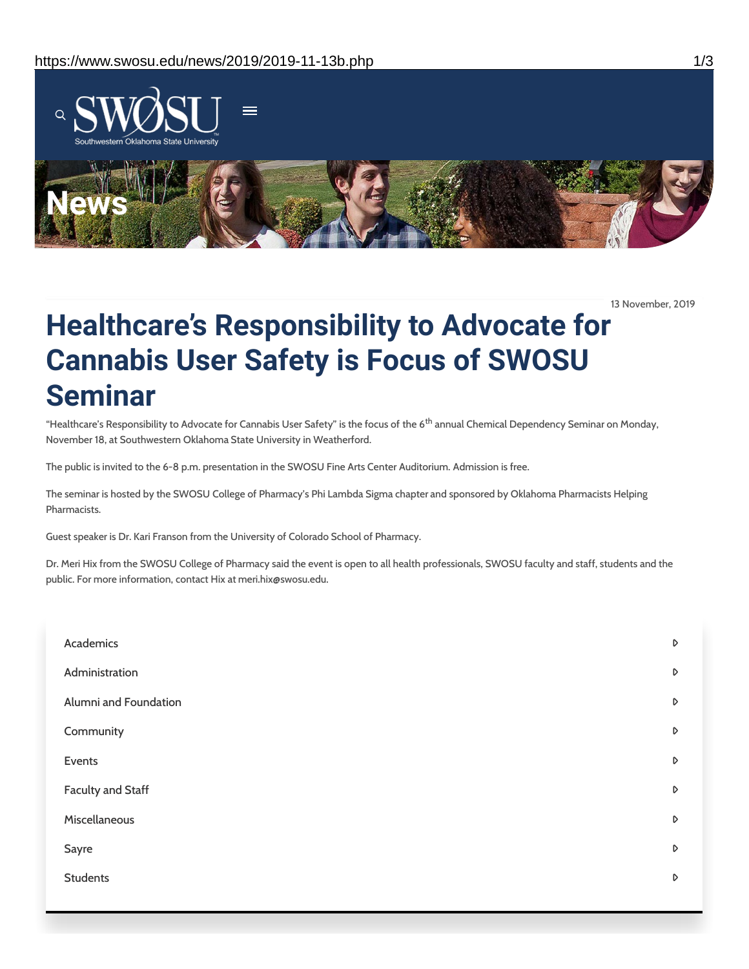

13 November, 2019

# **Healthcare's Responsibility to Advocate for Cannabis User Safety is Focus of SWOSU Seminar**

"Healthcare's Responsibility to Advocate for Cannabis User Safety" is the focus of the 6<sup>th</sup> annual Chemical Dependency Seminar on Monday, November 18, at Southwestern Oklahoma State University in Weatherford.

The public is invited to the 6-8 p.m. presentation in the SWOSU Fine Arts Center Auditorium. Admission is free.

The seminar is hosted by the SWOSU College of Pharmacy's Phi Lambda Sigma chapter and sponsored by Oklahoma Pharmacists Helping Pharmacists.

Guest speaker is Dr. Kari Franson from the University of Colorado School of Pharmacy.

Dr. Meri Hix from the SWOSU College of Pharmacy said the event is open to all health professionals, SWOSU faculty and staff, students and the public. For more information, contact Hix at meri.hix@swosu.edu.

| Academics                | D                |
|--------------------------|------------------|
| Administration           | $\mathsf D$      |
| Alumni and Foundation    | D                |
| Community                | D                |
| Events                   | D                |
| <b>Faculty and Staff</b> | D                |
| Miscellaneous            | D                |
| Sayre                    | D                |
| <b>Students</b>          | $\triangleright$ |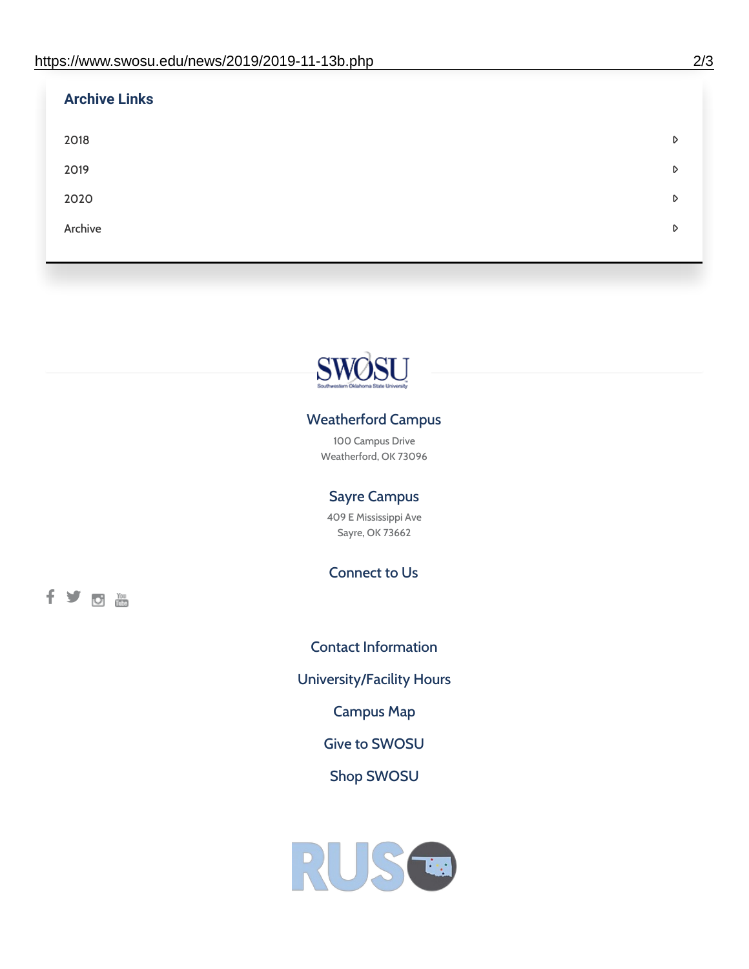| <b>Archive Links</b> |   |
|----------------------|---|
| 2018                 | D |
| 2019                 | D |
| 2020                 | D |
| Archive              | D |
|                      |   |



## Weatherford Campus

100 Campus Drive Weatherford, OK 73096

### Sayre Campus

409 E Mississippi Ave Sayre, OK 73662

Connect to Us

fyom

Contact [Information](https://www.swosu.edu/about/contact.php) [University/Facility](https://www.swosu.edu/about/operating-hours.php) Hours [Campus](https://map.concept3d.com/?id=768#!ct/10964,10214,10213,10212,10205,10204,10203,10202,10136,10129,10128,0,31226,10130,10201,10641,0) Map Give to [SWOSU](https://standingfirmly.com/donate) Shop [SWOSU](https://shopswosu.merchorders.com/)